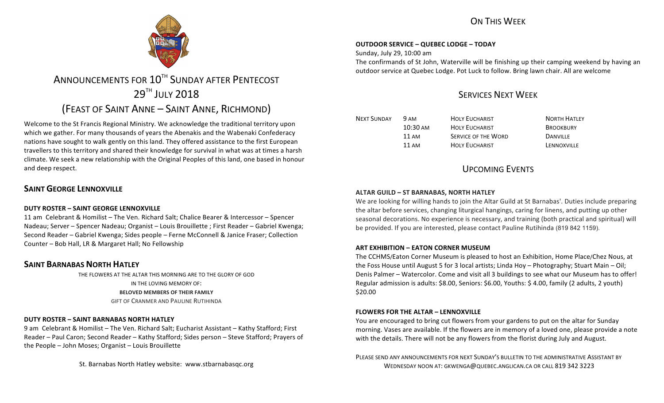## ON THIS WFFK



# ANNOUNCEMENTS FOR 10<sup>TH</sup> SUNDAY AFTER PENTECOST 29TH JULY 2018 (FEAST OF SAINT ANNE - SAINT ANNE, RICHMOND)

Welcome to the St Francis Regional Ministry. We acknowledge the traditional territory upon which we gather. For many thousands of years the Abenakis and the Wabenaki Confederacy nations have sought to walk gently on this land. They offered assistance to the first European travellers to this territory and shared their knowledge for survival in what was at times a harsh climate. We seek a new relationship with the Original Peoples of this land, one based in honour and deep respect.

### **SAINT GEORGE LENNOXVILLE**

#### **DUTY ROSTER – SAINT GEORGE LENNOXVILLE**

11 am Celebrant & Homilist – The Ven. Richard Salt; Chalice Bearer & Intercessor – Spencer Nadeau; Server – Spencer Nadeau; Organist – Louis Brouillette ; First Reader – Gabriel Kwenga; Second Reader – Gabriel Kwenga; Sides people – Ferne McConnell & Janice Fraser; Collection Counter - Bob Hall, LR & Margaret Hall; No Fellowship

### **SAINT BARNABAS NORTH HATLEY**

THE FLOWERS AT THE ALTAR THIS MORNING ARE TO THE GLORY OF GOD IN THE LOVING MEMORY OF: **BELOVED MEMBERS OF THEIR FAMILY GIFT OF CRANMER AND PAULINE RUTIHINDA** 

#### **DUTY ROSTER – SAINT BARNABAS NORTH HATLEY**

9 am Celebrant & Homilist – The Ven. Richard Salt; Eucharist Assistant – Kathy Stafford; First Reader – Paul Caron; Second Reader – Kathy Stafford; Sides person – Steve Stafford; Prayers of the People  $-$  John Moses; Organist  $-$  Louis Brouillette

St. Barnabas North Hatley website: www.stbarnabasqc.org

#### **OUTDOOR SERVICE – QUEBEC LODGE – TODAY**

Sunday, July 29, 10:00 am

The confirmands of St John, Waterville will be finishing up their camping weekend by having an outdoor service at Quebec Lodge. Pot Luck to follow. Bring lawn chair. All are welcome

## SERVICES NEXT WEEK

NEXT SUNDAY 9 AM HOLY EUCHARIST NORTH HATLEY

10:30 AM HOLY EUCHARIST BROOKBURY 11 AM SERVICE OF THE WORD DANVILLE 11 AM HOLY FUCHARIST LENNOXVILLE

# UPCOMING EVENTS

#### **ALTAR GUILD - ST BARNABAS, NORTH HATLEY**

We are looking for willing hands to join the Altar Guild at St Barnabas'. Duties include preparing the altar before services, changing liturgical hangings, caring for linens, and putting up other seasonal decorations. No experience is necessary, and training (both practical and spiritual) will be provided. If you are interested, please contact Pauline Rutihinda (819 842 1159).

#### **ART EXHIBITION – EATON CORNER MUSEUM**

The CCHMS/Eaton Corner Museum is pleased to host an Exhibition, Home Place/Chez Nous, at the Foss House until August 5 for 3 local artists; Linda Hoy – Photography; Stuart Main – Oil; Denis Palmer – Watercolor. Come and visit all 3 buildings to see what our Museum has to offer! Regular admission is adults: \$8.00, Seniors: \$6.00, Youths: \$ 4.00, family (2 adults, 2 youth) \$20.00

#### **FLOWERS FOR THE ALTAR - LENNOXVILLE**

You are encouraged to bring cut flowers from your gardens to put on the altar for Sunday morning. Vases are available. If the flowers are in memory of a loved one, please provide a note with the details. There will not be any flowers from the florist during July and August.

PLEASE SEND ANY ANNOUNCEMENTS FOR NEXT SUNDAY'S BULLETIN TO THE ADMINISTRATIVE ASSISTANT BY WEDNESDAY NOON AT: GKWENGA@QUEBEC.ANGLICAN.CA OR CALL 819 342 3223